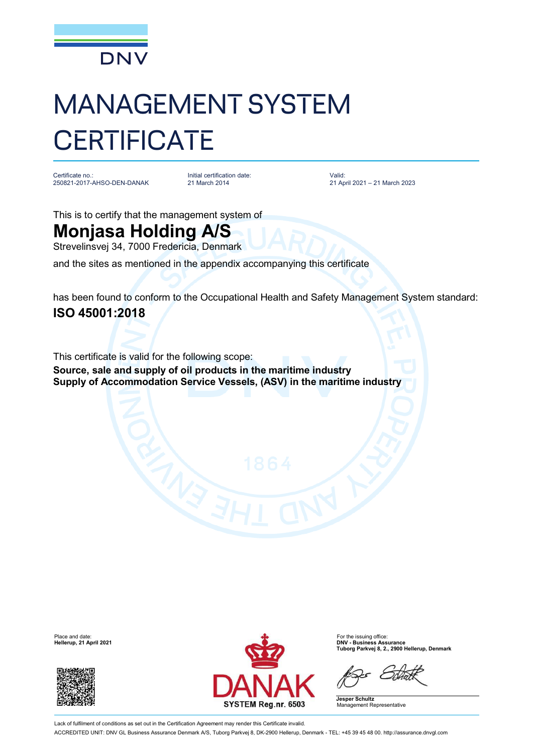

## MANAGEMENT SYSTEM **CERTIFICATE**

Certificate no.: 250821-2017-AHSO-DEN-DANAK

Initial certification date: 21 March 2014

Valid: 21 April 2021 – 21 March 2023

This is to certify that the management system of

## **Monjasa Holding A/S**

Strevelinsvej 34, 7000 Fredericia, Denmark

and the sites as mentioned in the appendix accompanying this certificate

has been found to conform to the Occupational Health and Safety Management System standard: **ISO 45001:2018**

This certificate is valid for the following scope: **Source, sale and supply of oil products in the maritime industry Supply of Accommodation Service Vessels, (ASV) in the maritime industry**

**Hellerup, 21 April 2021** 





**Tuborg Parkvej 8, 2., 2900 Hellerup, Denmark**

**Jesper Schultz** Management Representative

Lack of fulfilment of conditions as set out in the Certification Agreement may render this Certificate invalid. ACCREDITED UNIT: DNV GL Business Assurance Denmark A/S, Tuborg Parkvej 8, DK-2900 Hellerup, Denmark - TEL: +45 39 45 48 00. <http://assurance.dnvgl.com>